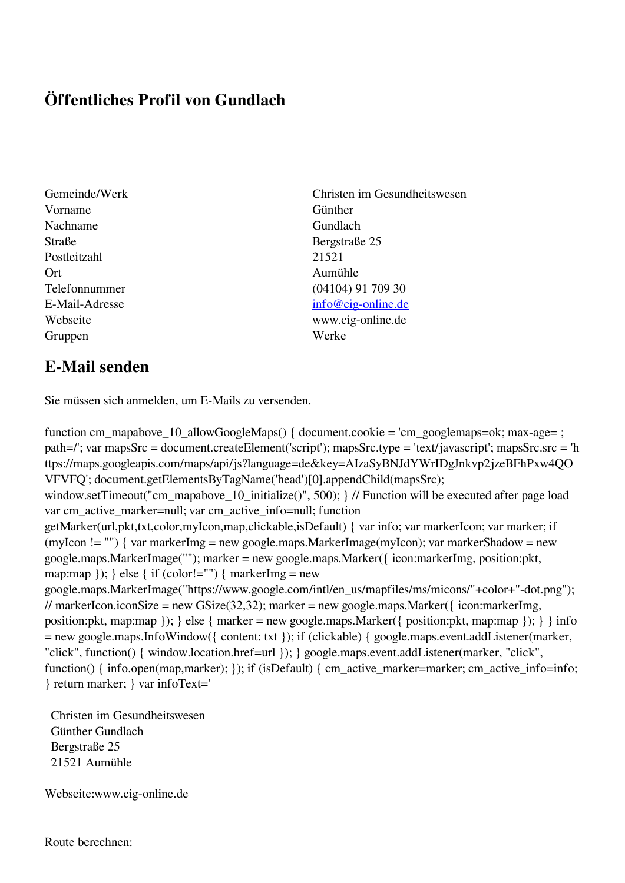## **Öffentliches Profil von Gundlach**

- Gemeinde/Werk Christen im Gesundheitswesen Vorname Günther Nachname Gundlach Straße Bergstraße 25 Postleitzahl 21521 Ort Aumühle Gruppen Werke
- Telefonnummer (04104) 91 709 30 E-Mail-Adresse [info@cig-online.de](mailto:info@cig-online.de) Webseite www.cig-online.de

## **E-Mail senden**

Sie müssen sich anmelden, um E-Mails zu versenden.

function cm\_mapabove\_10\_allowGoogleMaps() { document.cookie = 'cm\_googlemaps=ok; max-age= ; path=/'; var mapsSrc = document.createElement('script'); mapsSrc.type = 'text/javascript'; mapsSrc.src = 'h ttps://maps.googleapis.com/maps/api/js?language=de&key=AIzaSyBNJdYWrIDgJnkvp2jzeBFhPxw4QO VFVFQ'; document.getElementsByTagName('head')[0].appendChild(mapsSrc); window.setTimeout("cm\_mapabove\_10\_initialize()", 500); } // Function will be executed after page load var cm\_active\_marker=null; var cm\_active\_info=null; function getMarker(url,pkt,txt,color,myIcon,map,clickable,isDefault) { var info; var markerIcon; var marker; if (myIcon != "") { var markerImg = new google.maps.MarkerImage(myIcon); var markerShadow = new google.maps.MarkerImage(""); marker = new google.maps.Marker({ icon:markerImg, position:pkt, map:map  $\}$ ;  $\}$  else  $\{$  if (color!="")  $\{$  markerImg = new google.maps.MarkerImage("https://www.google.com/intl/en\_us/mapfiles/ms/micons/"+color+"-dot.png"); // markerIcon.iconSize = new GSize(32,32); marker = new google.maps.Marker({ $i$ con:markerImg, position:pkt, map:map }); } else { marker = new google.maps.Marker({ position:pkt, map:map }); } } info = new google.maps.InfoWindow({ content: txt }); if (clickable) { google.maps.event.addListener(marker, "click", function() { window.location.href=url }); } google.maps.event.addListener(marker, "click", function() { info.open(map,marker); }); if (isDefault) { cm\_active\_marker=marker; cm\_active\_info=info; } return marker; } var infoText='

 Christen im Gesundheitswesen Günther Gundlach Bergstraße 25 21521 Aumühle

Webseite:www.cig-online.de